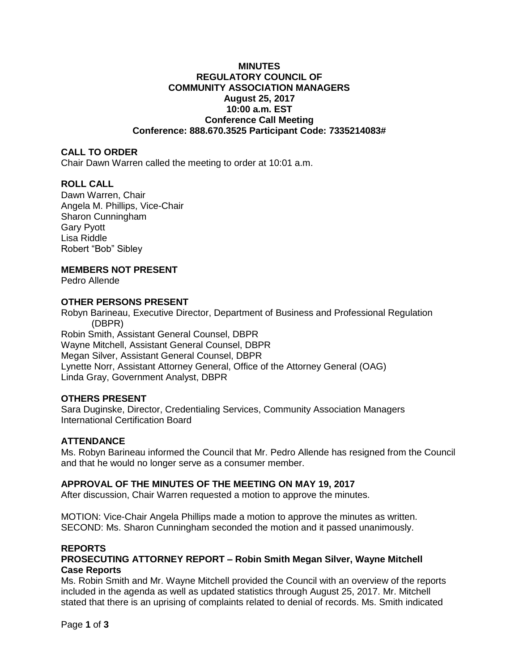# **MINUTES REGULATORY COUNCIL OF COMMUNITY ASSOCIATION MANAGERS August 25, 2017 10:00 a.m. EST Conference Call Meeting Conference: 888.670.3525 Participant Code: 7335214083#**

# **CALL TO ORDER**

Chair Dawn Warren called the meeting to order at 10:01 a.m.

# **ROLL CALL**

Dawn Warren, Chair Angela M. Phillips, Vice-Chair Sharon Cunningham Gary Pyott Lisa Riddle Robert "Bob" Sibley

# **MEMBERS NOT PRESENT**

Pedro Allende

# **OTHER PERSONS PRESENT**

Robyn Barineau, Executive Director, Department of Business and Professional Regulation (DBPR) Robin Smith, Assistant General Counsel, DBPR Wayne Mitchell, Assistant General Counsel, DBPR Megan Silver, Assistant General Counsel, DBPR Lynette Norr, Assistant Attorney General, Office of the Attorney General (OAG) Linda Gray, Government Analyst, DBPR

# **OTHERS PRESENT**

Sara Duginske, Director, Credentialing Services, Community Association Managers International Certification Board

# **ATTENDANCE**

Ms. Robyn Barineau informed the Council that Mr. Pedro Allende has resigned from the Council and that he would no longer serve as a consumer member.

#### **APPROVAL OF THE MINUTES OF THE MEETING ON MAY 19, 2017**

After discussion, Chair Warren requested a motion to approve the minutes.

MOTION: Vice-Chair Angela Phillips made a motion to approve the minutes as written. SECOND: Ms. Sharon Cunningham seconded the motion and it passed unanimously.

#### **REPORTS**

# **PROSECUTING ATTORNEY REPORT – Robin Smith Megan Silver, Wayne Mitchell Case Reports**

Ms. Robin Smith and Mr. Wayne Mitchell provided the Council with an overview of the reports included in the agenda as well as updated statistics through August 25, 2017. Mr. Mitchell stated that there is an uprising of complaints related to denial of records. Ms. Smith indicated

Page **1** of **3**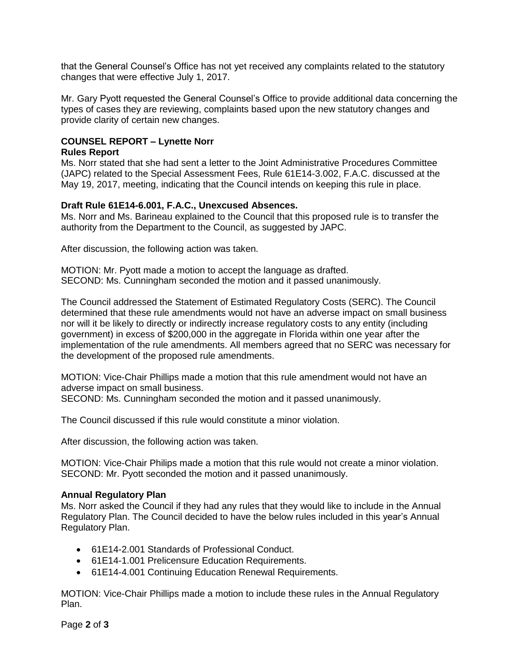that the General Counsel's Office has not yet received any complaints related to the statutory changes that were effective July 1, 2017.

Mr. Gary Pyott requested the General Counsel's Office to provide additional data concerning the types of cases they are reviewing, complaints based upon the new statutory changes and provide clarity of certain new changes.

#### **COUNSEL REPORT – Lynette Norr Rules Report**

Ms. Norr stated that she had sent a letter to the Joint Administrative Procedures Committee (JAPC) related to the Special Assessment Fees, Rule 61E14-3.002, F.A.C. discussed at the May 19, 2017, meeting, indicating that the Council intends on keeping this rule in place.

# **Draft Rule 61E14-6.001, F.A.C., Unexcused Absences.**

Ms. Norr and Ms. Barineau explained to the Council that this proposed rule is to transfer the authority from the Department to the Council, as suggested by JAPC.

After discussion, the following action was taken.

MOTION: Mr. Pyott made a motion to accept the language as drafted. SECOND: Ms. Cunningham seconded the motion and it passed unanimously.

The Council addressed the Statement of Estimated Regulatory Costs (SERC). The Council determined that these rule amendments would not have an adverse impact on small business nor will it be likely to directly or indirectly increase regulatory costs to any entity (including government) in excess of \$200,000 in the aggregate in Florida within one year after the implementation of the rule amendments. All members agreed that no SERC was necessary for the development of the proposed rule amendments.

MOTION: Vice-Chair Phillips made a motion that this rule amendment would not have an adverse impact on small business.

SECOND: Ms. Cunningham seconded the motion and it passed unanimously.

The Council discussed if this rule would constitute a minor violation.

After discussion, the following action was taken.

MOTION: Vice-Chair Philips made a motion that this rule would not create a minor violation. SECOND: Mr. Pyott seconded the motion and it passed unanimously.

#### **Annual Regulatory Plan**

Ms. Norr asked the Council if they had any rules that they would like to include in the Annual Regulatory Plan. The Council decided to have the below rules included in this year's Annual Regulatory Plan.

- 61E14-2.001 Standards of Professional Conduct.
- 61E14-1.001 Prelicensure Education Requirements.
- 61E14-4.001 Continuing Education Renewal Requirements.

MOTION: Vice-Chair Phillips made a motion to include these rules in the Annual Regulatory Plan.